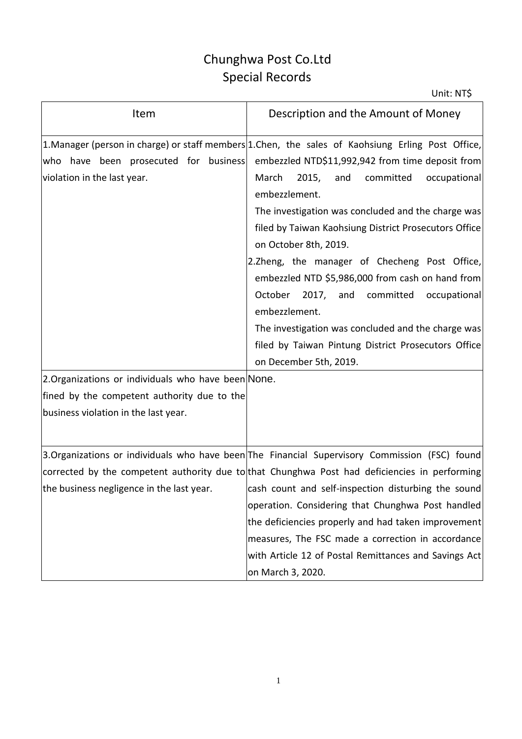## Chunghwa Post Co.Ltd Special Records

| Item                                                                                                                                                                                                              | Description and the Amount of Money                                                                                                                                                                                                                                                                                                                                                                                                                                                                                                                                                                                                                                               |
|-------------------------------------------------------------------------------------------------------------------------------------------------------------------------------------------------------------------|-----------------------------------------------------------------------------------------------------------------------------------------------------------------------------------------------------------------------------------------------------------------------------------------------------------------------------------------------------------------------------------------------------------------------------------------------------------------------------------------------------------------------------------------------------------------------------------------------------------------------------------------------------------------------------------|
| who have been prosecuted for business<br>violation in the last year.<br>2.Organizations or individuals who have been None.<br>fined by the competent authority due to the<br>business violation in the last year. | 1. Manager (person in charge) or staff members 1. Chen, the sales of Kaohsiung Erling Post Office,<br>embezzled NTD\$11,992,942 from time deposit from<br>March<br>2015,<br>and<br>committed<br>occupational<br>embezzlement.<br>The investigation was concluded and the charge was<br>filed by Taiwan Kaohsiung District Prosecutors Office<br>on October 8th, 2019.<br>2.Zheng, the manager of Checheng Post Office,<br>embezzled NTD \$5,986,000 from cash on hand from<br>October 2017, and committed<br>occupational<br>embezzlement.<br>The investigation was concluded and the charge was<br>filed by Taiwan Pintung District Prosecutors Office<br>on December 5th, 2019. |
| the business negligence in the last year.                                                                                                                                                                         | 3.Organizations or individuals who have been The Financial Supervisory Commission (FSC) found<br>corrected by the competent authority due to that Chunghwa Post had deficiencies in performing<br>cash count and self-inspection disturbing the sound<br>operation. Considering that Chunghwa Post handled<br>the deficiencies properly and had taken improvement<br>measures, The FSC made a correction in accordance<br>with Article 12 of Postal Remittances and Savings Act<br>on March 3, 2020.                                                                                                                                                                              |